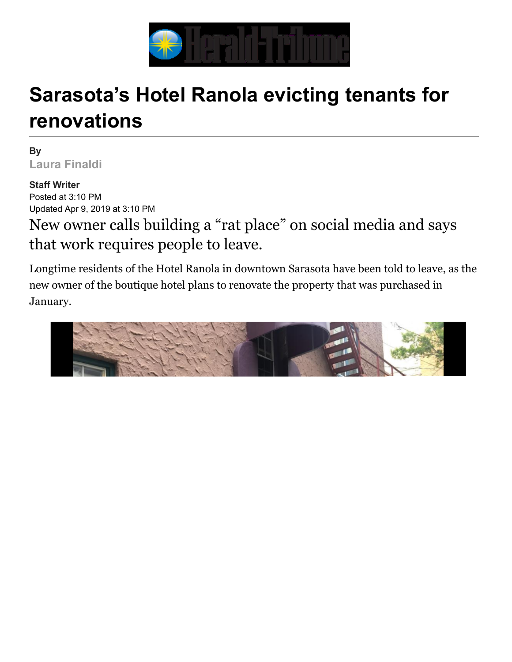

## **Sarasota's Hotel Ranola evicting tenants for renovations**

**[By](mailto:lfinaldi@heraldtribune.com)  Laura Finaldi**

**Staff Writer**  Posted at 3:10 PM Updated Apr 9, 2019 at 3:10 PM

New owner calls building a "rat place" on social media and says that work requires people to leave.

Longtime residents of the Hotel Ranola in downtown Sarasota have been told to leave, as the new owner of the boutique hotel plans to renovate the property that was purchased in January.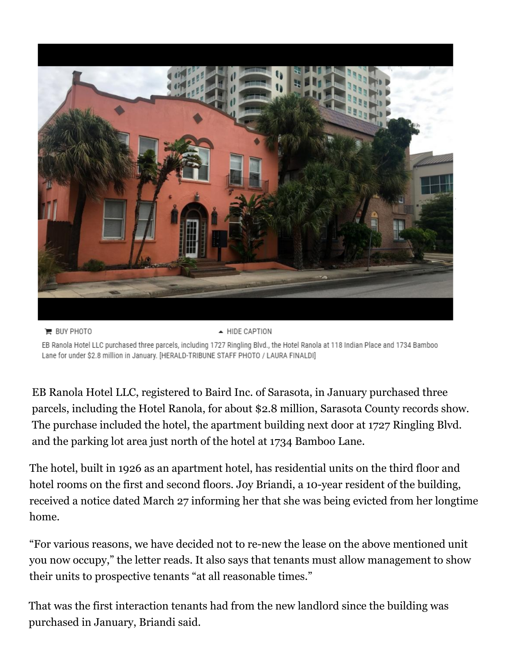

▲ HIDE CAPTION **E** BUY PHOTO EB Ranola Hotel LLC purchased three parcels, including 1727 Ringling Blvd., the Hotel Ranola at 118 Indian Place and 1734 Bamboo Lane for under \$2.8 million in January. [HERALD-TRIBUNE STAFF PHOTO / LAURA FINALDI]

EB Ranola Hotel LLC, registered to Baird Inc. of Sarasota, in January purchased three parcels, including the Hotel Ranola, for about \$2.8 million, Sarasota County records show. The purchase included the hotel, the apartment building next door at 1727 Ringling Blvd. and the parking lot area just north of the hotel at 1734 Bamboo Lane.

The hotel, built in 1926 as an apartment hotel, has residential units on the third floor and hotel rooms on the first and second floors. Joy Briandi, a 10-year resident of the building, received a notice dated March 27 informing her that she was being evicted from her longtime home.

"For various reasons, we have decided not to re-new the lease on the above mentioned unit you now occupy," the letter reads. It also says that tenants must allow management to show their units to prospective tenants "at all reasonable times."

[That was the first interaction tenants had from the new landlord since the building was](https://www.heraldtribune.com/news/20190313/sarasota-county-oks-smaller-affordable-homes) purchased in January, Briandi said.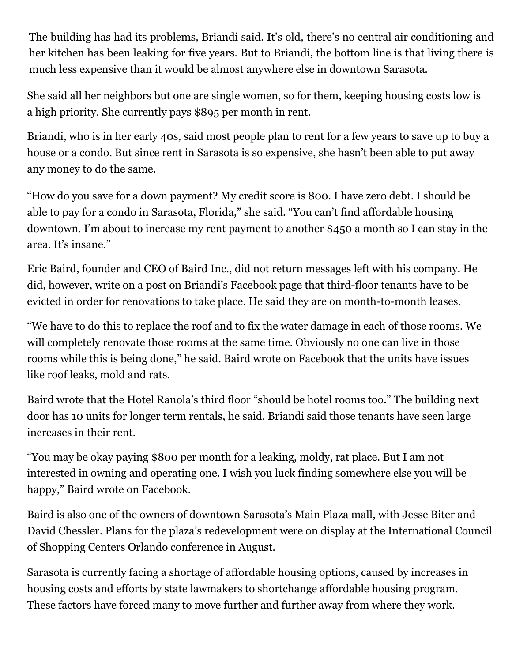[The building has had its problems, Briandi said. It's old, there's no central air conditioning](https://www.heraldtribune.com/news/20181207/sarasota-city-commission-adopts-new-affordable-housing-methods) and her kitchen has been leaking for five years. But to Briandi, the bottom line is that living there is much less expensive than it would be almost anywhere else in downtown Sarasota.

She said all her neighbors but one are single women, so for them, keeping housing costs low is a high priority. She currently pays \$895 per month in rent.

Briandi, who is in her early 40s, said most people plan to rent for a few years to save up to buy a house or a condo. But since rent in Sarasota is so expensive, she hasn't been able to put away any money to do the same.

"How do you save for a down payment? My credit score is 800. I have zero debt. I should be able to pay for a condo in Sarasota, Florida," she said. "You can't find affordable housing downtown. I'm about to increase my rent payment to another \$450 a month so I can stay in the area. It's insane."

Eric Baird, founder and CEO of Baird Inc., did not return messages left with his company. He did, however, write on a post on Briandi's Facebook page that third-floor tenants have to be evicted in order for renovations to take place. He said they are on month-to-month leases.

"We have to do this to replace the roof and to fix the water damage in each of those rooms. We will completely renovate those rooms at the same time. Obviously no one can live in those rooms while this is being done," he said. Baird wrote on Facebook that the units have issues like roof leaks, mold and rats.

Baird wrote that the Hotel Ranola's third floor "should be hotel rooms too." The building next door has 10 units for longer term rentals, he said. Briandi said those tenants have seen large increases in their rent.

"You may be okay paying \$800 per month for a leaking, moldy, rat place. But I am not interested in owning and operating one. I wish you luck finding somewhere else you will be happy," Baird wrote on Facebook.

Baird is also one of the owners of downtown Sarasota's Main Plaza mall, with Jesse Biter and David Chessler. Plans for the plaza's redevelopment were on display at the International Council of Shopping Centers Orlando conference in August.

Sarasota is currently facing a shortage of affordable housing options, caused by increases in housing costs and efforts by state lawmakers to shortchange affordable housing program. These factors have forced many to move further and further away from where they work.